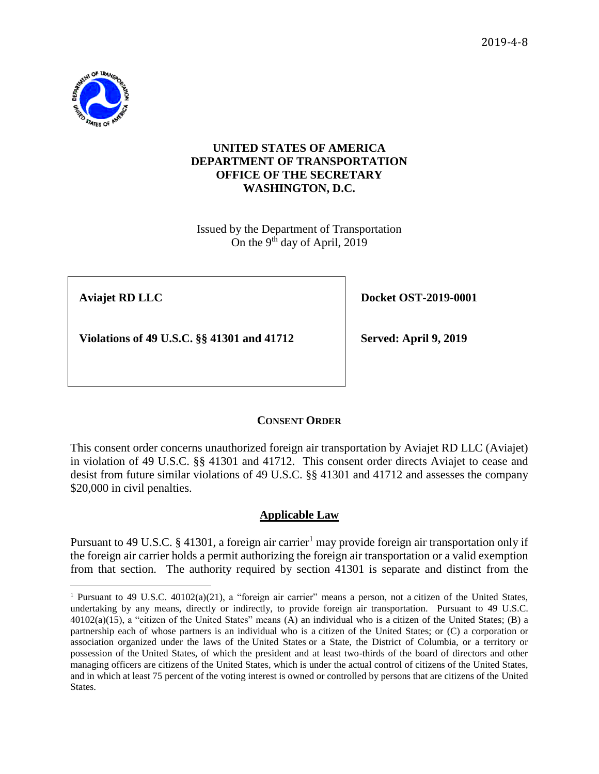2019-4-8



### **UNITED STATES OF AMERICA DEPARTMENT OF TRANSPORTATION OFFICE OF THE SECRETARY WASHINGTON, D.C.**

Issued by the Department of Transportation On the 9<sup>th</sup> day of April, 2019

 $\overline{a}$ 

**Aviajet RD LLC Docket OST-2019-0001** 

**Violations of 49 U.S.C. §§** 41301 and 41712 **Served: April 9, 2019** 

# **CONSENT ORDER**

This consent order concerns unauthorized foreign air transportation by Aviajet RD LLC (Aviajet) in violation of 49 U.S.C. §§ 41301 and 41712. This consent order directs Aviajet to cease and desist from future similar violations of 49 U.S.C. §§ 41301 and 41712 and assesses the company \$20,000 in civil penalties.

## **Applicable Law**

Pursuant to 49 U.S.C. § 41301, a foreign air carrier<sup>1</sup> may provide foreign air transportation only if the foreign air carrier holds a permit authorizing the foreign air transportation or a valid exemption from that section. The authority required by section 41301 is separate and distinct from the

<sup>&</sup>lt;sup>1</sup> Pursuant to [49 U.S.C. 40102\(a\)\(](https://www.law.cornell.edu/uscode/text/49/40102#a)21), a "foreign air carrier" means a person, not a citizen of the United States, undertaking by any means, directly or indirectly, to provide foreign air transportation. Pursuant to [49 U.S.C.](https://www.law.cornell.edu/uscode/text/49/40102#a)  [40102\(a\)\(](https://www.law.cornell.edu/uscode/text/49/40102#a)15), a "citizen of the United States" means (A) an individual who is a citizen of the United States; (B) a partnership each of whose partners is an individual who is a citizen of the United States; or (C) a corporation or association organized under the laws of the United States or a State, the District of Columbia, or a territory or possession of the United States, of which the president and at least two-thirds of the board of directors and other managing officers are citizens of the United States, which is under the actual control of citizens of the United States, and in which at least 75 percent of the voting interest is owned or controlled by persons that are citizens of the United States.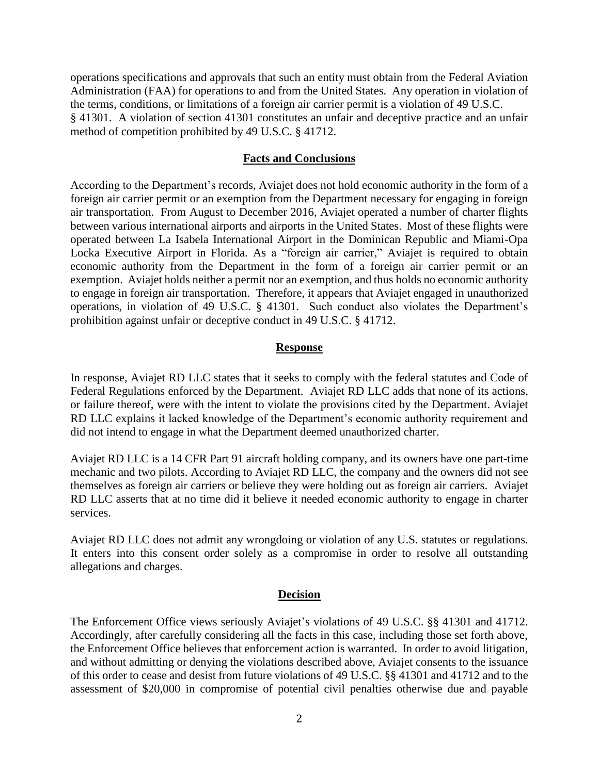operations specifications and approvals that such an entity must obtain from the Federal Aviation Administration (FAA) for operations to and from the United States. Any operation in violation of the terms, conditions, or limitations of a foreign air carrier permit is a violation of 49 U.S.C. § 41301. A violation of section 41301 constitutes an unfair and deceptive practice and an unfair method of competition prohibited by 49 U.S.C. § 41712.

#### **Facts and Conclusions**

According to the Department's records, Aviajet does not hold economic authority in the form of a foreign air carrier permit or an exemption from the Department necessary for engaging in foreign air transportation. From August to December 2016, Aviajet operated a number of charter flights between various international airports and airports in the United States. Most of these flights were operated between La Isabela International Airport in the Dominican Republic and Miami-Opa Locka Executive Airport in Florida. As a "foreign air carrier," Aviajet is required to obtain economic authority from the Department in the form of a foreign air carrier permit or an exemption. Aviajet holds neither a permit nor an exemption, and thus holds no economic authority to engage in foreign air transportation. Therefore, it appears that Aviajet engaged in unauthorized operations, in violation of 49 U.S.C. § 41301. Such conduct also violates the Department's prohibition against unfair or deceptive conduct in 49 U.S.C. § 41712.

#### **Response**

In response, Aviajet RD LLC states that it seeks to comply with the federal statutes and Code of Federal Regulations enforced by the Department. Aviajet RD LLC adds that none of its actions, or failure thereof, were with the intent to violate the provisions cited by the Department. Aviajet RD LLC explains it lacked knowledge of the Department's economic authority requirement and did not intend to engage in what the Department deemed unauthorized charter.

Aviajet RD LLC is a 14 CFR Part 91 aircraft holding company, and its owners have one part-time mechanic and two pilots. According to Aviajet RD LLC, the company and the owners did not see themselves as foreign air carriers or believe they were holding out as foreign air carriers. Aviajet RD LLC asserts that at no time did it believe it needed economic authority to engage in charter services.

Aviajet RD LLC does not admit any wrongdoing or violation of any U.S. statutes or regulations. It enters into this consent order solely as a compromise in order to resolve all outstanding allegations and charges.

#### **Decision**

The Enforcement Office views seriously Aviajet's violations of 49 U.S.C. §§ 41301 and 41712. Accordingly, after carefully considering all the facts in this case, including those set forth above, the Enforcement Office believes that enforcement action is warranted. In order to avoid litigation, and without admitting or denying the violations described above, Aviajet consents to the issuance of this order to cease and desist from future violations of 49 U.S.C. §§ 41301 and 41712 and to the assessment of \$20,000 in compromise of potential civil penalties otherwise due and payable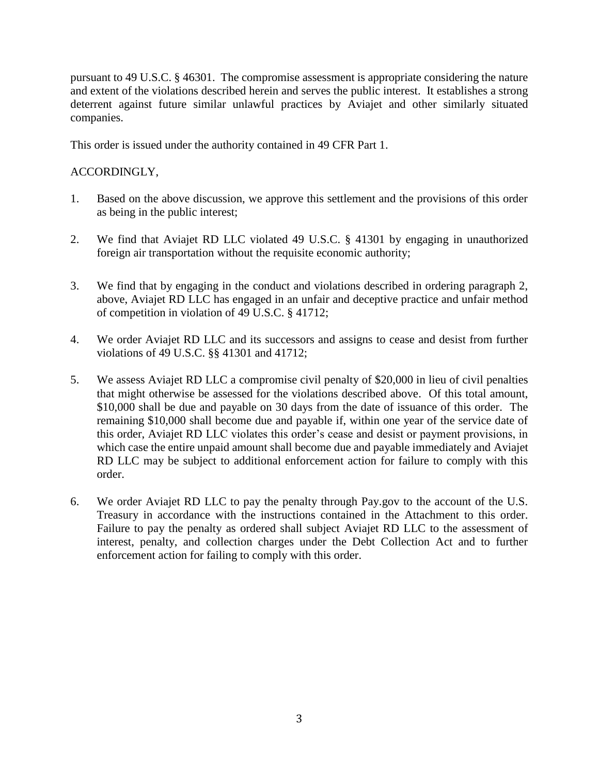pursuant to 49 U.S.C. § 46301. The compromise assessment is appropriate considering the nature and extent of the violations described herein and serves the public interest. It establishes a strong deterrent against future similar unlawful practices by Aviajet and other similarly situated companies.

This order is issued under the authority contained in 49 CFR Part 1.

## ACCORDINGLY,

- 1. Based on the above discussion, we approve this settlement and the provisions of this order as being in the public interest;
- 2. We find that Aviajet RD LLC violated 49 U.S.C. § 41301 by engaging in unauthorized foreign air transportation without the requisite economic authority;
- 3. We find that by engaging in the conduct and violations described in ordering paragraph 2, above, Aviajet RD LLC has engaged in an unfair and deceptive practice and unfair method of competition in violation of 49 U.S.C. § 41712;
- 4. We order Aviajet RD LLC and its successors and assigns to cease and desist from further violations of 49 U.S.C. §§ 41301 and 41712;
- 5. We assess Aviajet RD LLC a compromise civil penalty of \$20,000 in lieu of civil penalties that might otherwise be assessed for the violations described above. Of this total amount, \$10,000 shall be due and payable on 30 days from the date of issuance of this order. The remaining \$10,000 shall become due and payable if, within one year of the service date of this order, Aviajet RD LLC violates this order's cease and desist or payment provisions, in which case the entire unpaid amount shall become due and payable immediately and Aviajet RD LLC may be subject to additional enforcement action for failure to comply with this order.
- 6. We order Aviajet RD LLC to pay the penalty through Pay.gov to the account of the U.S. Treasury in accordance with the instructions contained in the Attachment to this order. Failure to pay the penalty as ordered shall subject Aviajet RD LLC to the assessment of interest, penalty, and collection charges under the Debt Collection Act and to further enforcement action for failing to comply with this order.